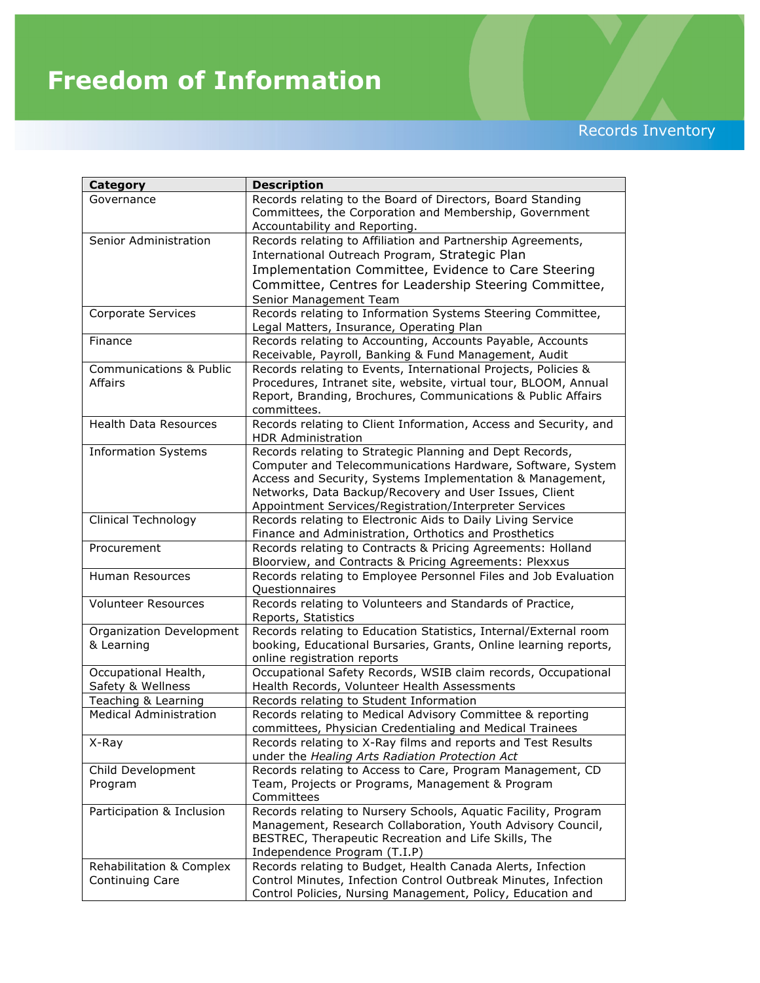## **Freedom of Information**

Records Inventory

| <b>Category</b>                    | <b>Description</b>                                                                                                                                    |
|------------------------------------|-------------------------------------------------------------------------------------------------------------------------------------------------------|
| Governance                         | Records relating to the Board of Directors, Board Standing<br>Committees, the Corporation and Membership, Government<br>Accountability and Reporting. |
| Senior Administration              | Records relating to Affiliation and Partnership Agreements,                                                                                           |
|                                    | International Outreach Program, Strategic Plan                                                                                                        |
|                                    | Implementation Committee, Evidence to Care Steering                                                                                                   |
|                                    | Committee, Centres for Leadership Steering Committee,                                                                                                 |
|                                    | Senior Management Team                                                                                                                                |
| Corporate Services                 | Records relating to Information Systems Steering Committee,                                                                                           |
|                                    | Legal Matters, Insurance, Operating Plan                                                                                                              |
| Finance                            | Records relating to Accounting, Accounts Payable, Accounts                                                                                            |
|                                    | Receivable, Payroll, Banking & Fund Management, Audit                                                                                                 |
| <b>Communications &amp; Public</b> | Records relating to Events, International Projects, Policies &                                                                                        |
| Affairs                            | Procedures, Intranet site, website, virtual tour, BLOOM, Annual                                                                                       |
|                                    | Report, Branding, Brochures, Communications & Public Affairs                                                                                          |
|                                    | committees.                                                                                                                                           |
| <b>Health Data Resources</b>       | Records relating to Client Information, Access and Security, and<br><b>HDR Administration</b>                                                         |
| <b>Information Systems</b>         | Records relating to Strategic Planning and Dept Records,                                                                                              |
|                                    | Computer and Telecommunications Hardware, Software, System                                                                                            |
|                                    | Access and Security, Systems Implementation & Management,                                                                                             |
|                                    | Networks, Data Backup/Recovery and User Issues, Client                                                                                                |
|                                    | Appointment Services/Registration/Interpreter Services                                                                                                |
| <b>Clinical Technology</b>         | Records relating to Electronic Aids to Daily Living Service                                                                                           |
|                                    | Finance and Administration, Orthotics and Prosthetics                                                                                                 |
| Procurement                        | Records relating to Contracts & Pricing Agreements: Holland                                                                                           |
| Human Resources                    | Bloorview, and Contracts & Pricing Agreements: Plexxus                                                                                                |
|                                    | Records relating to Employee Personnel Files and Job Evaluation<br><b>Questionnaires</b>                                                              |
| Volunteer Resources                | Records relating to Volunteers and Standards of Practice,                                                                                             |
|                                    | Reports, Statistics                                                                                                                                   |
| Organization Development           | Records relating to Education Statistics, Internal/External room                                                                                      |
| & Learning                         | booking, Educational Bursaries, Grants, Online learning reports,                                                                                      |
|                                    | online registration reports                                                                                                                           |
| Occupational Health,               | Occupational Safety Records, WSIB claim records, Occupational                                                                                         |
| Safety & Wellness                  | Health Records, Volunteer Health Assessments                                                                                                          |
| Teaching & Learning                | Records relating to Student Information                                                                                                               |
| <b>Medical Administration</b>      | Records relating to Medical Advisory Committee & reporting<br>committees, Physician Credentialing and Medical Trainees                                |
| X-Ray                              | Records relating to X-Ray films and reports and Test Results                                                                                          |
|                                    | under the Healing Arts Radiation Protection Act                                                                                                       |
| Child Development                  | Records relating to Access to Care, Program Management, CD                                                                                            |
| Program                            | Team, Projects or Programs, Management & Program                                                                                                      |
|                                    | Committees                                                                                                                                            |
| Participation & Inclusion          | Records relating to Nursery Schools, Aquatic Facility, Program                                                                                        |
|                                    | Management, Research Collaboration, Youth Advisory Council,                                                                                           |
|                                    | BESTREC, Therapeutic Recreation and Life Skills, The                                                                                                  |
|                                    | Independence Program (T.I.P)                                                                                                                          |
| Rehabilitation & Complex           | Records relating to Budget, Health Canada Alerts, Infection                                                                                           |
| Continuing Care                    | Control Minutes, Infection Control Outbreak Minutes, Infection                                                                                        |
|                                    | Control Policies, Nursing Management, Policy, Education and                                                                                           |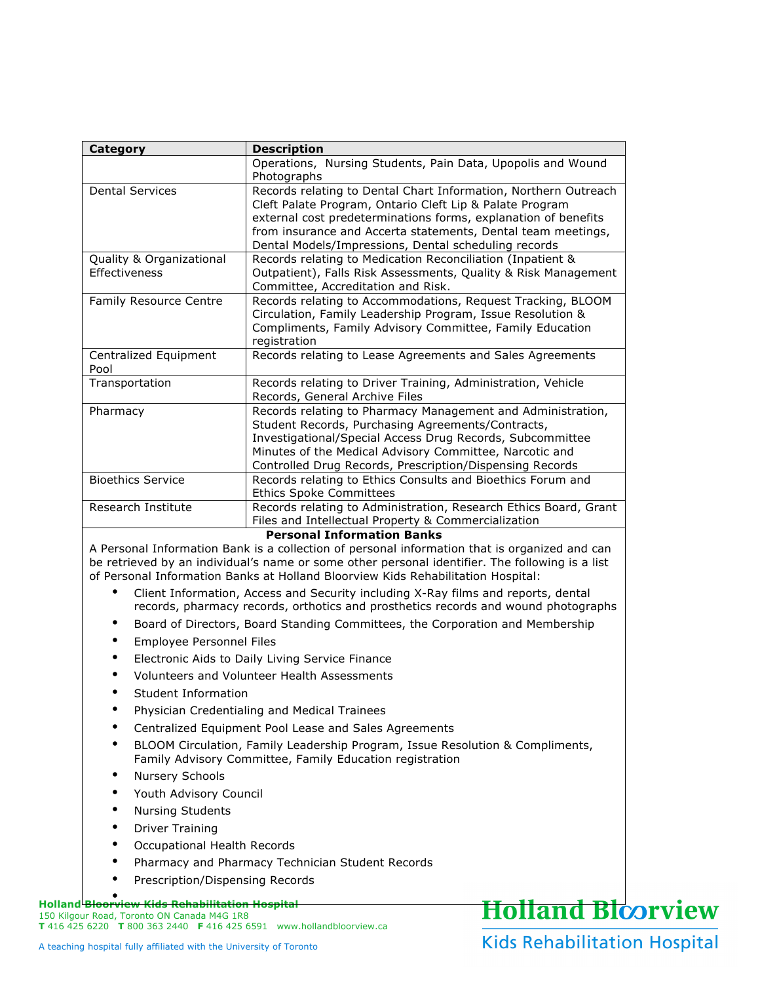| Category                                  | <b>Description</b>                                                                                                                                                                                                                                                                                                    |
|-------------------------------------------|-----------------------------------------------------------------------------------------------------------------------------------------------------------------------------------------------------------------------------------------------------------------------------------------------------------------------|
|                                           | Operations, Nursing Students, Pain Data, Upopolis and Wound<br>Photographs                                                                                                                                                                                                                                            |
| <b>Dental Services</b>                    | Records relating to Dental Chart Information, Northern Outreach<br>Cleft Palate Program, Ontario Cleft Lip & Palate Program<br>external cost predeterminations forms, explanation of benefits<br>from insurance and Accerta statements, Dental team meetings,<br>Dental Models/Impressions, Dental scheduling records |
| Quality & Organizational<br>Effectiveness | Records relating to Medication Reconciliation (Inpatient &<br>Outpatient), Falls Risk Assessments, Quality & Risk Management<br>Committee, Accreditation and Risk.                                                                                                                                                    |
| Family Resource Centre                    | Records relating to Accommodations, Request Tracking, BLOOM<br>Circulation, Family Leadership Program, Issue Resolution &<br>Compliments, Family Advisory Committee, Family Education<br>registration                                                                                                                 |
| Centralized Equipment<br>Pool             | Records relating to Lease Agreements and Sales Agreements                                                                                                                                                                                                                                                             |
| Transportation                            | Records relating to Driver Training, Administration, Vehicle<br>Records, General Archive Files                                                                                                                                                                                                                        |
| Pharmacy                                  | Records relating to Pharmacy Management and Administration,<br>Student Records, Purchasing Agreements/Contracts,<br>Investigational/Special Access Drug Records, Subcommittee<br>Minutes of the Medical Advisory Committee, Narcotic and<br>Controlled Drug Records, Prescription/Dispensing Records                  |
| <b>Bioethics Service</b>                  | Records relating to Ethics Consults and Bioethics Forum and<br><b>Ethics Spoke Committees</b>                                                                                                                                                                                                                         |
| Research Institute                        | Records relating to Administration, Research Ethics Board, Grant<br>Files and Intellectual Property & Commercialization                                                                                                                                                                                               |
|                                           |                                                                                                                                                                                                                                                                                                                       |
|                                           | <b>Personal Information Banks</b>                                                                                                                                                                                                                                                                                     |
|                                           | A Personal Information Bank is a collection of personal information that is organized and can<br>be retrieved by an individual's name or some other personal identifier. The following is a list<br>of Personal Information Banks at Holland Bloorview Kids Rehabilitation Hospital:                                  |
|                                           | Client Information, Access and Security including X-Ray films and reports, dental<br>records, pharmacy records, orthotics and prosthetics records and wound photographs                                                                                                                                               |
| $\bullet$                                 | Board of Directors, Board Standing Committees, the Corporation and Membership                                                                                                                                                                                                                                         |
| Employee Personnel Files<br>$\bullet$     |                                                                                                                                                                                                                                                                                                                       |
| ٠                                         | Electronic Aids to Daily Living Service Finance                                                                                                                                                                                                                                                                       |
|                                           | Volunteers and Volunteer Health Assessments                                                                                                                                                                                                                                                                           |
| Student Information                       |                                                                                                                                                                                                                                                                                                                       |
|                                           | Physician Credentialing and Medical Trainees                                                                                                                                                                                                                                                                          |
|                                           | Centralized Equipment Pool Lease and Sales Agreements                                                                                                                                                                                                                                                                 |
|                                           | BLOOM Circulation, Family Leadership Program, Issue Resolution & Compliments,<br>Family Advisory Committee, Family Education registration                                                                                                                                                                             |
| Nursery Schools                           |                                                                                                                                                                                                                                                                                                                       |
| Youth Advisory Council                    |                                                                                                                                                                                                                                                                                                                       |
| <b>Nursing Students</b>                   |                                                                                                                                                                                                                                                                                                                       |
| <b>Driver Training</b>                    |                                                                                                                                                                                                                                                                                                                       |
| Occupational Health Records               |                                                                                                                                                                                                                                                                                                                       |
|                                           | Pharmacy and Pharmacy Technician Student Records                                                                                                                                                                                                                                                                      |
| Prescription/Dispensing Records           |                                                                                                                                                                                                                                                                                                                       |

150 Kilgour Road, Toronto ON Canada M4G 1R8 **T** 416 425 6220 **T** 800 363 2440 **F** 416 425 6591 www.hollandbloorview.ca

## Kids Rehabilitation Hospital